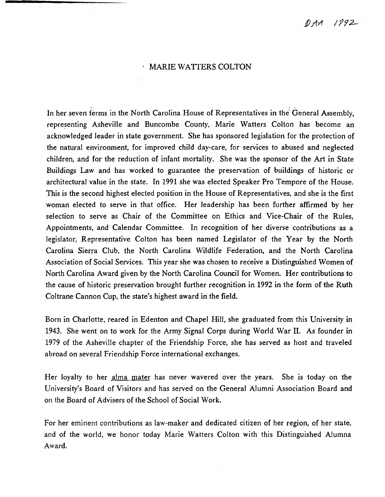DAA 1992

#### · MARIE WATTERS COLTON

In her seven terms in the North Carolina House of Representatives in the General Assembly, representing Asheville and Buncombe County, Marie Watters Colton has become an acknowledged leader in state government. She has sponsored legislation for the protection of the natural environment, for improved child day-care, for services to abused and neglected children, and for the reduction of infant mortality. She was the sponsor of the Art in State Buildings Law and has worked to guarantee the preservation of buildings of historic or architectural value in the state. In 1991 she was elected Speaker Pro Tempore of the House. This is the second highest elected position in the House of Representatives, and she is the first woman elected to serve in that office. Her leadership has been further affirmed by her selection to serve as Chair of the Committee on Ethics and Vice-Chair of the Rules, Appointments, and Calendar Committee. In recognition of her diverse contributions as a legislator, Representative Colton has been named Legislator of the Year by the North Carolina Sierra Club, the North Carolina Wildlife Federation, and the North Carolina Association of Social Services. This year she was chosen to receive a Distinguished Women of North Carolina Award given by the North Carolina Council for Women. Her contributions to the cause of historic preservation brought further recognition in 1992 in the form of the Ruth Coltrane Cannon Cup, the state's highest award in the field.

Born in Charlotte, reared in Edenton and Chapel Hill, she graduated from this University in 1943. She went on to work for the Army Signal Corps during World War II. As founder in 1979 of the Asheville chapter of the Friendship Force, she has served as host and traveled abroad on several Friendship Force international exchanges.

Her loyalty to her alma mater has never wavered over the years. She is today on the University's Board of Visitors and has served on the General Alumni Association Board and on the Board of Advisers of the School of Social Work.

For her eminent contributions as law-maker and dedicated citizen of her region, of her state, and of the world, we honor today Marie Watters Colton with this Distinguished Alumna Award.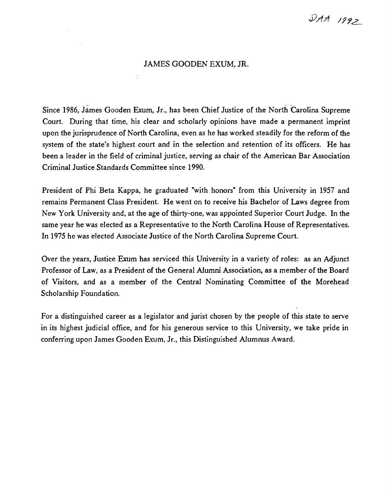# $\mathcal{Q}$ AA 1992

#### JAMES GOODEN EXUM, JR.

 $\ddot{\downarrow}$ 

Since 1986, James Gooden Exum, Jr., has been Chief Justice of the North Carolina Supreme Court. During that time, his clear and scholarly opinions have made a permanent imprint upon the jurisprudence of North Carolina, even as he has worked steadily for the reform of the system of the state's highest court and in the selection and retention of its officers. He has been a leader in the field of criminal justice, serving as chair of the American Bar Association Criminal Justice Standards Committee since 1990.

President of Phi Beta Kappa, he graduated "with honors" from this University in 1957 and remains Permanent Class President. He went on to receive his Bachelor of Laws degree from New York University and, at the age of thirty-one, was appointed Superior Court Judge. In the same year he was elected as a Representative to the North Carolina House of Representatives. In 1975 he was elected Associate Justice of the North Carolina Supreme Court.

Over the years, Justice Exum has serviced this University in a variety of roles: as an Adjunct Professor of Law, as a President of the General Alumni Association, as a member of the Board of Visitors, and as a member of the Central Nominating Committee of the Morehead Scholarship Foundation.

For a distinguished career as a legislator and jurist chosen by the people of this state to serve in its highest judicial office, and for his generous service to this University, we take pride in conferring upon James Gooden Exum, Jr., this Distinguished Alumnus Award.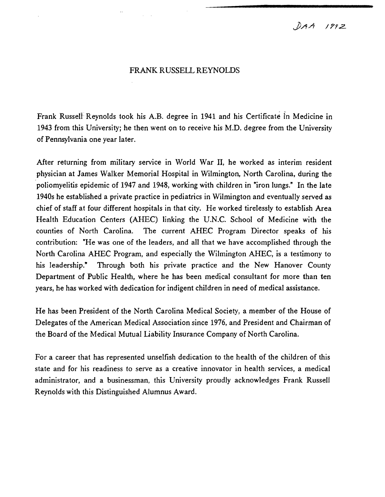$DAA$  1992

#### FRANK RUSSELL REYNOLDS

Frank Russell Reynolds took his A.B. degree in 1941 and his Certificate in Medicine in 1943 from this University; he then went on to receive his M.D. degree from the University of Pennsylvania one year later.

After returning from military service in World War II, he worked as interim resident physician at James Walker Memorial Hospital in Wilmington, North Carolina, during the poliomyelitis epidemic of 1947 and 1948, working with children in "iron lungs." In the late 1940s he established a private practice in pediatrics in Wilmington and eventually served as chief of staff at four different hospitals in that city. He worked tirelessly to establish Area Health Education Centers (AHEC) linking the U.N.C. School of Medicine with the counties of North Carolina. The current AHEC Program Director speaks of his contribution: "He was one of the leaders, and all that we have accomplished through the North Carolina AHEC Program, and especially the Wilmington AHEC, is a testimony to his leadership." Through both his private practice and the New Hanover County Department of Public Health, where he has been medical consultant for more than ten years, he has worked with dedication for indigent children in need of medical assistance.

He has been President of the North Carolina Medical Society, a member of the House of Delegates of the American Medical Association since 1976, and President and Chairman of the Board of the Medical Mutual Liability Insurance Company of North Carolina.

For a career that has represented unselfish dedication to the health of the children of this state and for his readiness to serve as a creative innovator in health services, a medical administrator, and a businessman, this University proudly acknowledges Frank Russell Reynolds with this Distinguished Alumnus Award.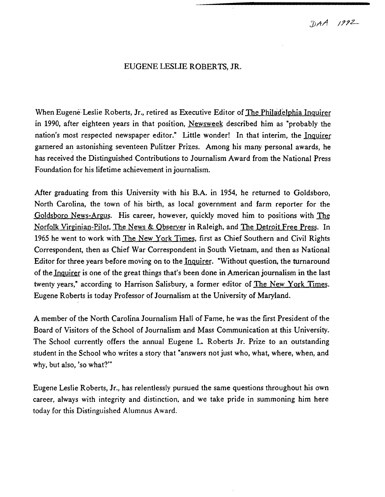### EUGENE LESLIE ROBERTS, JR.

When Eugene-Leslie Roberts, Jr., retired as Executive Editor of The Philadelphia Inquirer in 1990, after eighteen years in that position, Newsweek described him as "probably the nation's most respected newspaper editor." Little wonder! In that interim, the Inquirer garnered an astonishing seventeen Pulitzer Prizes. Among his many personal awards, he has received the Distinguished Contributions to Journalism Award from the National Press Foundation for his lifetime achievement in journalism.

After graduating from this University with his B.A. in 1954, he returned to Goldsboro, North Carolina, the town of his birth, as local government and farm reporter for the Goldsboro News-Argus. His career, however, quickly moved him to positions with The Norfolk Virginian-Pilot, The News & Observer in Raleigh, and The Detroit Free Press. In 1965 he went to work with The New York Times, first as Chief Southern and Civil Rights Correspondent, then as Chief War Correspondent in South Vietnam, and then as National Editor for three years before moving on to the Inquirer. "Without question, the turnaround of the Inquirer is one of the great things that's been done in American journalism in the last twenty years," according to Harrison Salisbury, a former editor of The New York Times. Eugene Roberts is today Professor of Journalism at the University of Maryland.

A member of the North Carolina Journalism Hall of Fame, he was the first President of the Board of Visitors of the School of Journalism and Mass Communication at this University. The School currently offers the annual Eugene L. Roberts Jr. Prize to an outstanding student in the School who writes a story that "answers not just who, what, where, when, and why, but also, 'so what?'"

Eugene Leslie Roberts, Jr., has relentlessly pursued the same questions throughout his own career, always with integrity and distinction, and we take pride in summoning him here today for this Distinguished Alumnus Award.